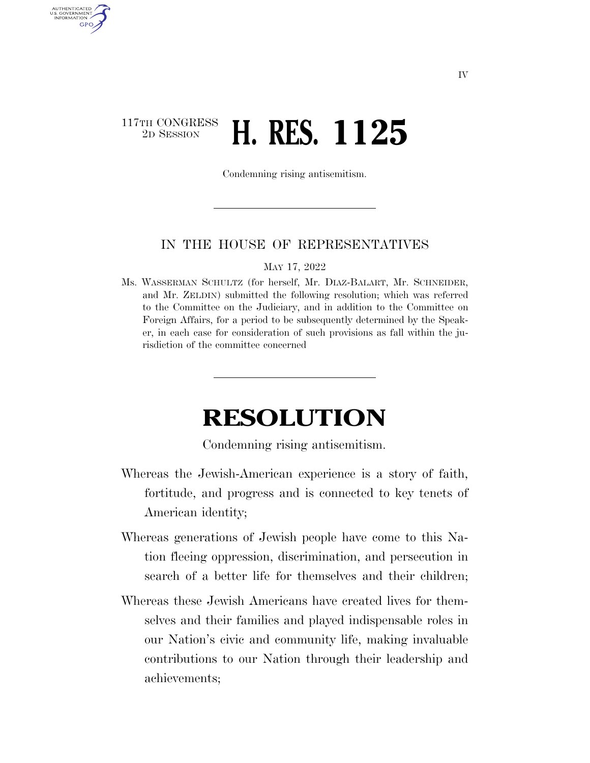## 117TH CONGRESS <sup>2D SESSION</sup> **H. RES. 1125**

AUTHENTICATED U.S. GOVERNMENT GPO

Condemning rising antisemitism.

## IN THE HOUSE OF REPRESENTATIVES

MAY 17, 2022

Ms. WASSERMAN SCHULTZ (for herself, Mr. DIAZ-BALART, Mr. SCHNEIDER, and Mr. ZELDIN) submitted the following resolution; which was referred to the Committee on the Judiciary, and in addition to the Committee on Foreign Affairs, for a period to be subsequently determined by the Speaker, in each case for consideration of such provisions as fall within the jurisdiction of the committee concerned

## **RESOLUTION**

Condemning rising antisemitism.

- Whereas the Jewish-American experience is a story of faith, fortitude, and progress and is connected to key tenets of American identity;
- Whereas generations of Jewish people have come to this Nation fleeing oppression, discrimination, and persecution in search of a better life for themselves and their children;
- Whereas these Jewish Americans have created lives for themselves and their families and played indispensable roles in our Nation's civic and community life, making invaluable contributions to our Nation through their leadership and achievements;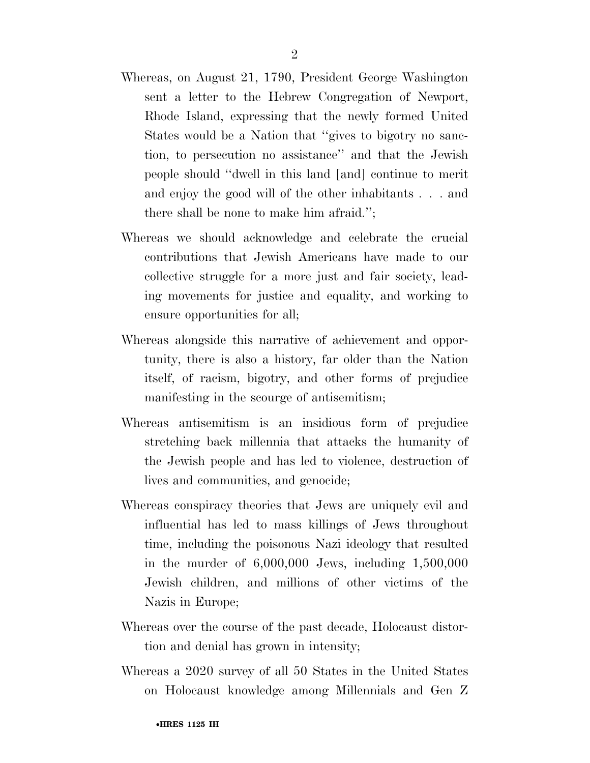- Whereas, on August 21, 1790, President George Washington sent a letter to the Hebrew Congregation of Newport, Rhode Island, expressing that the newly formed United States would be a Nation that ''gives to bigotry no sanction, to persecution no assistance'' and that the Jewish people should ''dwell in this land [and] continue to merit and enjoy the good will of the other inhabitants . . . and there shall be none to make him afraid.'';
- Whereas we should acknowledge and celebrate the crucial contributions that Jewish Americans have made to our collective struggle for a more just and fair society, leading movements for justice and equality, and working to ensure opportunities for all;
- Whereas alongside this narrative of achievement and opportunity, there is also a history, far older than the Nation itself, of racism, bigotry, and other forms of prejudice manifesting in the scourge of antisemitism;
- Whereas antisemitism is an insidious form of prejudice stretching back millennia that attacks the humanity of the Jewish people and has led to violence, destruction of lives and communities, and genocide;
- Whereas conspiracy theories that Jews are uniquely evil and influential has led to mass killings of Jews throughout time, including the poisonous Nazi ideology that resulted in the murder of 6,000,000 Jews, including 1,500,000 Jewish children, and millions of other victims of the Nazis in Europe;
- Whereas over the course of the past decade, Holocaust distortion and denial has grown in intensity;
- Whereas a 2020 survey of all 50 States in the United States on Holocaust knowledge among Millennials and Gen Z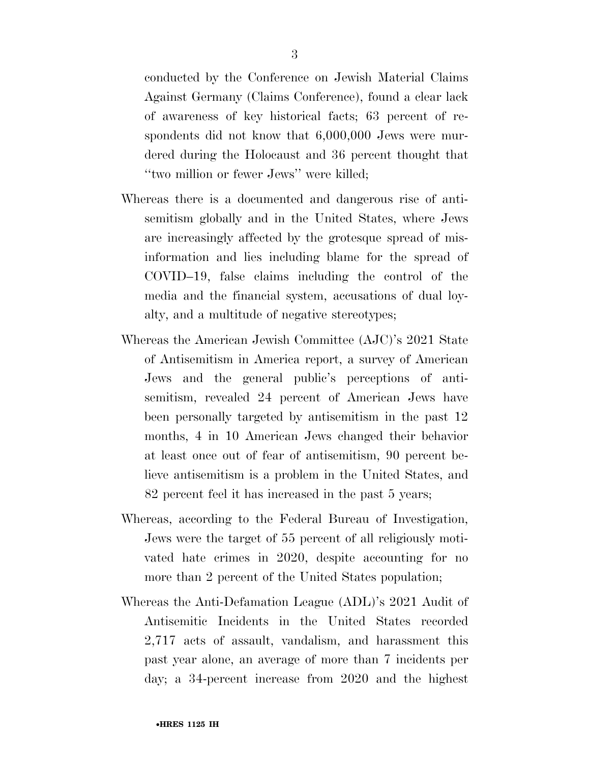conducted by the Conference on Jewish Material Claims Against Germany (Claims Conference), found a clear lack of awareness of key historical facts; 63 percent of respondents did not know that 6,000,000 Jews were murdered during the Holocaust and 36 percent thought that ''two million or fewer Jews'' were killed;

- Whereas there is a documented and dangerous rise of antisemitism globally and in the United States, where Jews are increasingly affected by the grotesque spread of misinformation and lies including blame for the spread of COVID–19, false claims including the control of the media and the financial system, accusations of dual loyalty, and a multitude of negative stereotypes;
- Whereas the American Jewish Committee (AJC)'s 2021 State of Antisemitism in America report, a survey of American Jews and the general public's perceptions of antisemitism, revealed 24 percent of American Jews have been personally targeted by antisemitism in the past 12 months, 4 in 10 American Jews changed their behavior at least once out of fear of antisemitism, 90 percent believe antisemitism is a problem in the United States, and 82 percent feel it has increased in the past 5 years;
- Whereas, according to the Federal Bureau of Investigation, Jews were the target of 55 percent of all religiously motivated hate crimes in 2020, despite accounting for no more than 2 percent of the United States population;
- Whereas the Anti-Defamation League (ADL)'s 2021 Audit of Antisemitic Incidents in the United States recorded 2,717 acts of assault, vandalism, and harassment this past year alone, an average of more than 7 incidents per day; a 34-percent increase from 2020 and the highest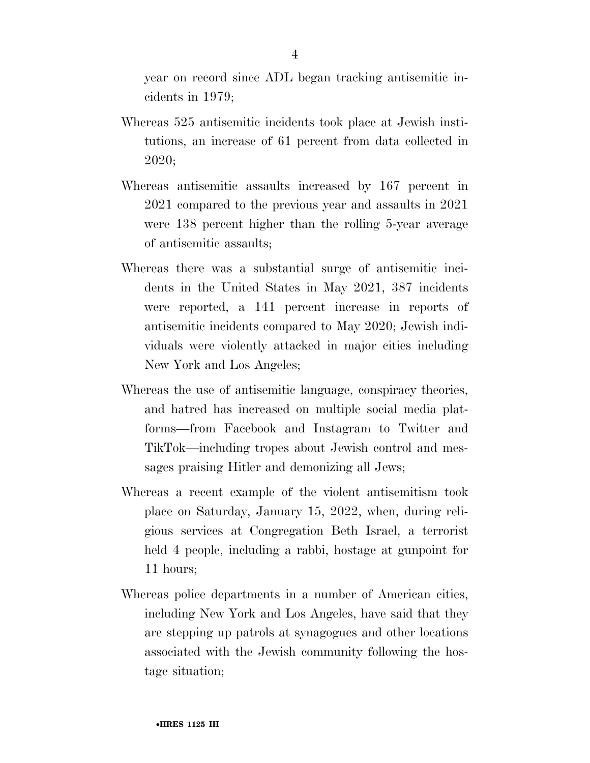year on record since ADL began tracking antisemitic incidents in 1979;

- Whereas 525 antisemitic incidents took place at Jewish institutions, an increase of 61 percent from data collected in 2020;
- Whereas antisemitic assaults increased by 167 percent in 2021 compared to the previous year and assaults in 2021 were 138 percent higher than the rolling 5-year average of antisemitic assaults;
- Whereas there was a substantial surge of antisemitic incidents in the United States in May 2021, 387 incidents were reported, a 141 percent increase in reports of antisemitic incidents compared to May 2020; Jewish individuals were violently attacked in major cities including New York and Los Angeles;
- Whereas the use of antisemitic language, conspiracy theories, and hatred has increased on multiple social media platforms—from Facebook and Instagram to Twitter and TikTok—including tropes about Jewish control and messages praising Hitler and demonizing all Jews;
- Whereas a recent example of the violent antisemitism took place on Saturday, January 15, 2022, when, during religious services at Congregation Beth Israel, a terrorist held 4 people, including a rabbi, hostage at gunpoint for 11 hours;
- Whereas police departments in a number of American cities, including New York and Los Angeles, have said that they are stepping up patrols at synagogues and other locations associated with the Jewish community following the hostage situation;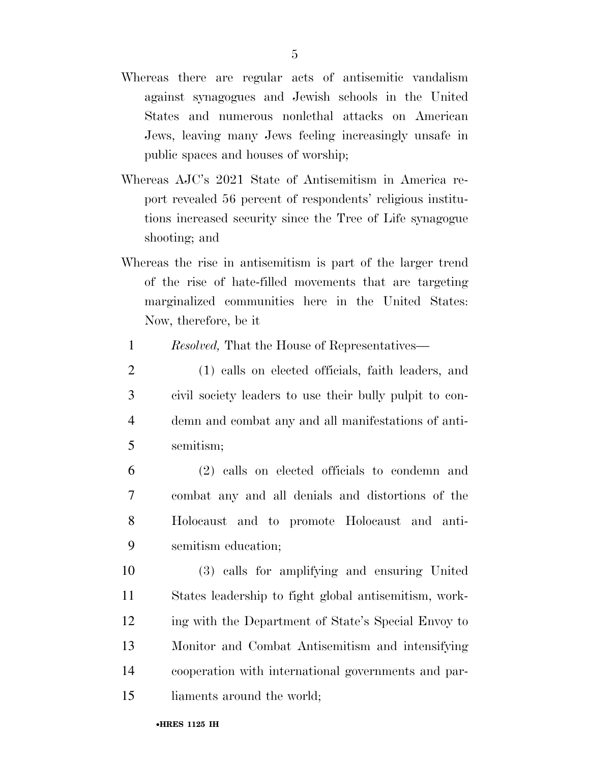- Whereas there are regular acts of antisemitic vandalism against synagogues and Jewish schools in the United States and numerous nonlethal attacks on American Jews, leaving many Jews feeling increasingly unsafe in public spaces and houses of worship;
- Whereas AJC's 2021 State of Antisemitism in America report revealed 56 percent of respondents' religious institutions increased security since the Tree of Life synagogue shooting; and
- Whereas the rise in antisemitism is part of the larger trend of the rise of hate-filled movements that are targeting marginalized communities here in the United States: Now, therefore, be it
	- 1 *Resolved,* That the House of Representatives—
- 2 (1) calls on elected officials, faith leaders, and 3 civil society leaders to use their bully pulpit to con-4 demn and combat any and all manifestations of anti-5 semitism;
- 6 (2) calls on elected officials to condemn and 7 combat any and all denials and distortions of the 8 Holocaust and to promote Holocaust and anti-9 semitism education;
- 10 (3) calls for amplifying and ensuring United 11 States leadership to fight global antisemitism, work-12 ing with the Department of State's Special Envoy to 13 Monitor and Combat Antisemitism and intensifying 14 cooperation with international governments and par-15 liaments around the world;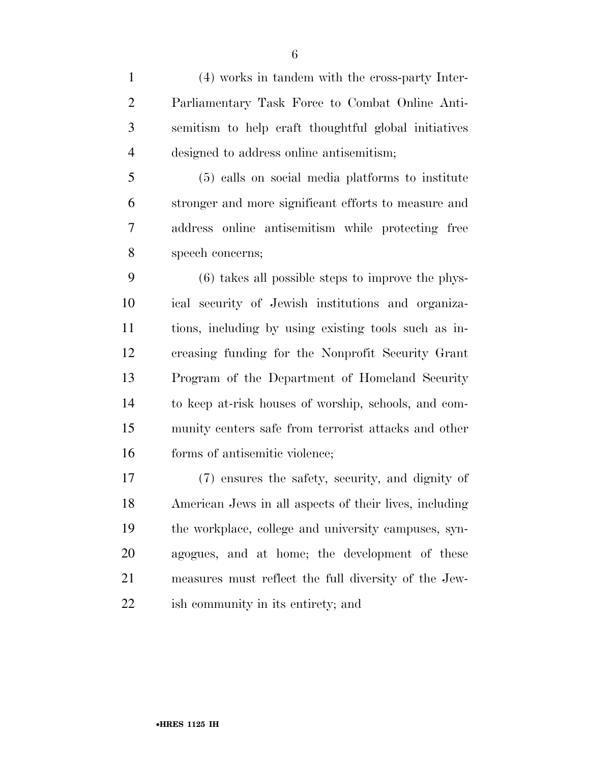(4) works in tandem with the cross-party Inter- Parliamentary Task Force to Combat Online Anti- semitism to help craft thoughtful global initiatives designed to address online antisemitism;

 (5) calls on social media platforms to institute stronger and more significant efforts to measure and address online antisemitism while protecting free speech concerns;

 (6) takes all possible steps to improve the phys- ical security of Jewish institutions and organiza- tions, including by using existing tools such as in- creasing funding for the Nonprofit Security Grant Program of the Department of Homeland Security to keep at-risk houses of worship, schools, and com- munity centers safe from terrorist attacks and other forms of antisemitic violence;

 (7) ensures the safety, security, and dignity of American Jews in all aspects of their lives, including the workplace, college and university campuses, syn- agogues, and at home; the development of these measures must reflect the full diversity of the Jew-ish community in its entirety; and